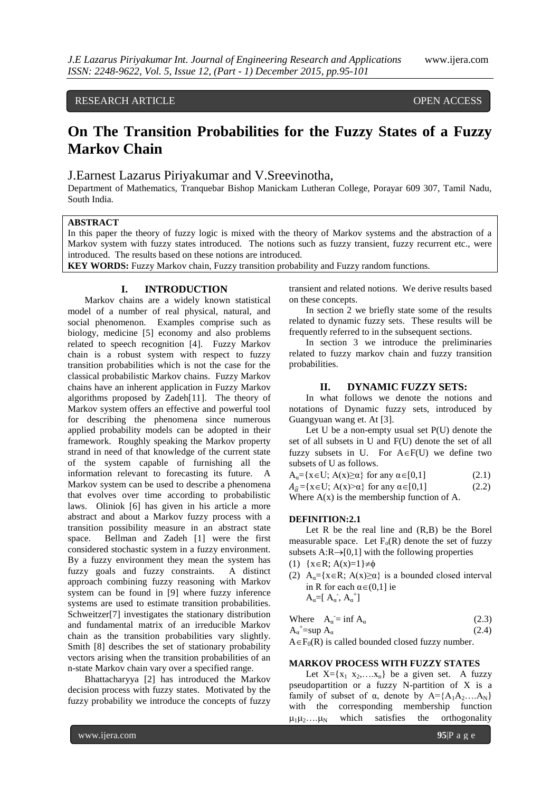RESEARCH ARTICLE **CONSERVERS** OPEN ACCESS

# **On The Transition Probabilities for the Fuzzy States of a Fuzzy Markov Chain**

J.Earnest Lazarus Piriyakumar and V.Sreevinotha,

Department of Mathematics, Tranquebar Bishop Manickam Lutheran College, Porayar 609 307, Tamil Nadu, South India.

# **ABSTRACT**

In this paper the theory of fuzzy logic is mixed with the theory of Markov systems and the abstraction of a Markov system with fuzzy states introduced. The notions such as fuzzy transient, fuzzy recurrent etc., were introduced. The results based on these notions are introduced.

**KEY WORDS:** Fuzzy Markov chain, Fuzzy transition probability and Fuzzy random functions.

# **I. INTRODUCTION**

Markov chains are a widely known statistical model of a number of real physical, natural, and social phenomenon. Examples comprise such as biology, medicine [5] economy and also problems related to speech recognition [4]. Fuzzy Markov chain is a robust system with respect to fuzzy transition probabilities which is not the case for the classical probabilistic Markov chains. Fuzzy Markov chains have an inherent application in Fuzzy Markov algorithms proposed by Zadeh[11]. The theory of Markov system offers an effective and powerful tool for describing the phenomena since numerous applied probability models can be adopted in their framework. Roughly speaking the Markov property strand in need of that knowledge of the current state of the system capable of furnishing all the information relevant to forecasting its future. A Markov system can be used to describe a phenomena that evolves over time according to probabilistic laws. Oliniok [6] has given in his article a more abstract and about a Markov fuzzy process with a transition possibility measure in an abstract state space. Bellman and Zadeh [1] were the first considered stochastic system in a fuzzy environment. By a fuzzy environment they mean the system has fuzzy goals and fuzzy constraints. A distinct approach combining fuzzy reasoning with Markov system can be found in [9] where fuzzy inference systems are used to estimate transition probabilities. Schweitzer[7] investigates the stationary distribution and fundamental matrix of an irreducible Markov chain as the transition probabilities vary slightly. Smith [8] describes the set of stationary probability vectors arising when the transition probabilities of an n-state Markov chain vary over a specified range.

Bhattacharyya [2] has introduced the Markov decision process with fuzzy states. Motivated by the fuzzy probability we introduce the concepts of fuzzy

transient and related notions. We derive results based on these concepts.

In section 2 we briefly state some of the results related to dynamic fuzzy sets. These results will be frequently referred to in the subsequent sections.

In section 3 we introduce the preliminaries related to fuzzy markov chain and fuzzy transition probabilities.

# **II. DYNAMIC FUZZY SETS:**

In what follows we denote the notions and notations of Dynamic fuzzy sets, introduced by Guangyuan wang et. At [3].

Let U be a non-empty usual set P(U) denote the set of all subsets in U and F(U) denote the set of all fuzzy subsets in U. For  $A \in F(U)$  we define two subsets of U as follows.

 $A_{\alpha} = \{x \in U; A(x) \ge \alpha\}$  for any  $\alpha \in [0,1]$  (2.1)  $A_{\hat{\alpha}} = \{x \in U; A(x) \ge \alpha\}$  for any  $\alpha \in [0,1]$  (2.2) Where  $A(x)$  is the membership function of A.

#### **DEFINITION:2.1**

Let R be the real line and (R,B) be the Borel measurable space. Let  $F_0(R)$  denote the set of fuzzy subsets  $A:R\rightarrow[0,1]$  with the following properties

$$
(1) \ \{x \in R; A(x)=1\} \neq \emptyset
$$

(2) A<sub>α</sub>={x ∈ R; A(x)≥α} is a bounded closed interval in R for each  $\alpha \in (0,1]$  ie  $A_{\alpha}=[A_{\alpha}, A_{\alpha}^+]$ 

|                                          | Where $A_{\alpha} = \inf A_{\alpha}$ | (2.3) |
|------------------------------------------|--------------------------------------|-------|
| $A_{\alpha}^{\dagger}$ =sup $A_{\alpha}$ |                                      | (2.4) |

 $A \in F_0(R)$  is called bounded closed fuzzy number.

# **MARKOV PROCESS WITH FUZZY STATES**

Let  $X = \{x_1, x_2, \ldots, x_n\}$  be a given set. A fuzzy pseudopartition or a fuzzy N-partition of X is a family of subset of  $\alpha$ , denote by  $A = \{A_1A_2,...A_N\}$ with the corresponding membership function  $\mu_1\mu_2\ldots\mu_N$  which satisfies the orthogonality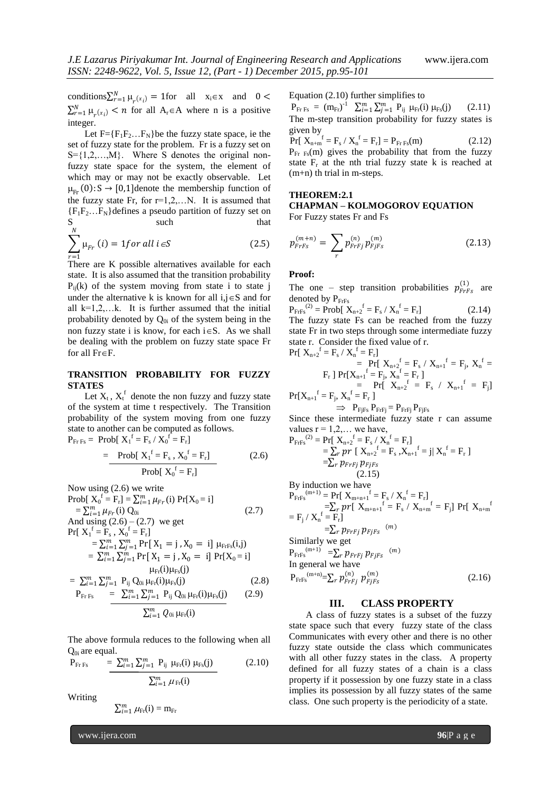conditions  $\sum_{r=1}^{N} \mu_r(x_i) = 1$  for all  $x_i \in x$  and  $0 <$  $\sum_{r=1}^{N} \mu_r(x_i)$  < *n* for all A<sub>r</sub> EA where *n* is a positive integer.

Let  $F = {F_1F_2...F_N}$  be the fuzzy state space, ie the set of fuzzy state for the problem. Fr is a fuzzy set on  $S = \{1, 2, \ldots, M\}$ . Where S denotes the original nonfuzzy state space for the system, the element of which may or may not be exactly observable. Let  $\mu_{E_r} (0) : S \rightarrow [0,1]$ denote the membership function of the fuzzy state Fr, for  $r=1,2,...N$ . It is assumed that  ${F_1F_2...F_N}$  defines a pseudo partition of fuzzy set on S such that  $S_{\nu}$ 

$$
\sum_{r=1}^{N} \mu_{Fr} (i) = 1 \text{ for all } i \in S
$$
 (2.5)

There are K possible alternatives available for each state. It is also assumed that the transition probability  $P_{ii}(k)$  of the system moving from state i to state j under the alternative k is known for all  $i, j \in S$  and for all  $k=1,2,...k$ . It is further assumed that the initial probability denoted by  $Q_{0i}$  of the system being in the non fuzzy state i is know, for each  $i \in S$ . As we shall be dealing with the problem on fuzzy state space Fr for all  $Fr \in F$ .

# **TRANSITION PROBABILITY FOR FUZZY STATES**

Let  $X_t$ ,  $X_t^f$  denote the non fuzzy and fuzzy state of the system at time t respectively. The Transition probability of the system moving from one fuzzy state to another can be computed as follows.  $P_{Fr\,Fs} = \text{Prob}[\ X_1^f = F_s / X_0^f = F_r]$ 

$$
= \frac{\text{Prob}[X_1^f = F_s, X_0^f = F_r]}{\text{Prob}[X_0^f = F_r]}
$$
(2.6)

Now using (2.6) we write  
\nProb[ 
$$
X_0^f = F_r
$$
] =  $\sum_{i=1}^m \mu_{Fr}(i)$  Pr[ $X_0 = i$ ]  
\n=  $\sum_{i=1}^m \mu_{Fr}(i)$  Q<sub>0i</sub> (2.7)  
\nAnd using (2.6) – (2.7) we get  
\nPr[  $X_1^f = F_s$ ,  $X_0^f = F_r$ ]  
\n=  $\sum_{i=1}^m \sum_{j=1}^m Pr[X_1 = j, X_0 = i]$   $\mu_{Frfs}(i,j)$   
\n=  $\sum_{i=1}^m \sum_{j=1}^m Pr[X_1 = j, X_0 = i]$  Pr[ $X_0 = i$ ]  
\n=  $\sum_{i=1}^m \sum_{j=1}^m P_{ij}$  Q<sub>0i</sub>  $\mu_{Fr}(i)$   $\mu_{Fs}(j)$  (2.8)  
\n
$$
P_{FrFs} = \sum_{i=1}^m \sum_{j=1}^m P_{ij}
$$
 Q<sub>0i</sub>  $\mu_{Fr}(i)$   $\mu_{Fs}(j)$  (2.9)  
\n
$$
\sum_{i=1}^m Q_{0i} \mu_{Fr}(i)
$$

The above formula reduces to the following when all  $Q_{0i}$  are equal.

$$
P_{Fr\,Fs} \quad = \frac{\sum_{i=1}^{m} \sum_{j=1}^{m} P_{ij} \mu_{Fr}(i) \mu_{Fs}(j)}{\sum_{i=1}^{m} \mu_{Fr}(i)}
$$
(2.10)

Writing

$$
\textstyle \sum_{i=1}^m \mu_{\text{Fr}}(\text{i}) = \text{m}_{\text{Fr}}
$$

www.ijera.com **96**|P a g e

Equation (2.10) further simplifies to

 $P_{\text{FrFs}} = (m_{\text{Fr}})^{-1} \sum_{i=1}^{m} \sum_{j=1}^{m} P_{ij} \mu_{\text{Fr}}(i) \mu_{\text{Fs}}(j)$  (2.11) The m-step transition probability for fuzzy states is given by

 $Pr[X_{n+m}^{\text{f}} = F_s / X_n^{\text{f}} = F_r] = P_{FrFs}(m)$  (2.12)  $P_{Fr}$ <sub>Fs</sub>(m) gives the probability that from the fuzzy state  $F_r$  at the nth trial fuzzy state k is reached at (m+n) th trial in m-steps.

# **THEOREM:2.1**

# **CHAPMAN – KOLMOGOROV EQUATION**

For Fuzzy states Fr and Fs

$$
p_{FrFs}^{(m+n)} = \sum_{r} p_{FrFj}^{(n)} p_{FjFs}^{(m)}
$$
 (2.13)

## **Proof:**

The one – step transition probabilities  $p_{FrFs}^{(1)}$  are denoted by PFrFs

 $P_{\text{FrFs}}^{(2)} = \text{Prob}[\ X_{n+2}^{f} = F_s / X_n^f = F_r]$  (2.14) The fuzzy state Fs can be reached from the fuzzy state Fr in two steps through some intermediate fuzzy state r. Consider the fixed value of r.

$$
\begin{aligned} \Pr[\begin{array}{l} \mathbf{X}_{n+2}^{f} = \mathbf{F}_{s} \ / \ \mathbf{X}_{n}^{f} = \mathbf{F}_{r}] \\ & = \Pr[\begin{array}{l l} \mathbf{X}_{n+2}^{f} = \ \mathbf{F}_{s} \ / \ \mathbf{X}_{n+1}^{f} = \ \mathbf{F}_{j}, \ \mathbf{X}_{n}^{f} = \end{array} \\ \Pr[\begin{array}{l l} \mathbf{F}_{r} \end{array}] \Pr[\mathbf{X}_{n+1}^{f} = \mathbf{F}_{j}, \ \mathbf{X}_{n}^{f} = \Pr[\begin{array}{l l} \ \mathbf{X}_{n+2}^{f} = \ \mathbf{F}_{s} \ / \ \ \mathbf{X}_{n+1}^{f} = \ \mathbf{F}_{j}] \end{array} \end{aligned} \Pr[\mathbf{X}_{n+1}^{f} = \mathbf{F}_{j}, \ \mathbf{X}_{n}^{f} = \mathbf{F}_{r}]
$$

 $\implies$   $P_{\text{FiFs}} P_{\text{FrFi}} = P_{\text{FrFi}} P_{\text{FiFs}}$ Since these intermediate fuzzy state r can assume alues  $r = 1,2, ...$ 

values r = 1,2,... we have,  
\n
$$
P_{FrFs}^{(2)} = Pr[X_{n+2}^f = F_s / X_n^f = F_r]
$$
\n
$$
= \sum_r pr [X_{n+2}^f = F_s, X_{n+1}^f = j | X_n^f = F_r]
$$
\n
$$
= \sum_r p_{FrFj} p_{FjFs}
$$
\n(2.15)

By induction we have

$$
P_{\text{FrFs}}^{(m+1)} = \Pr[X_{m+n+1}^{f} = F_s / X_n^f = F_r] \n= \sum_r pr[X_{m+n+1}^{f} = F_s / X_{n+m}^f = F_j] \Pr[X_{n+m}^{f} = F_j / X_n^f = F_r] \n= \sum_r p_{\text{FrFS}}(m) \nSimilarly we get \n
$$
P_{\text{FrFs}}^{(m+1)} = \sum_r p_{\text{FrFS}}(m) \nIn general we have \n
$$
P_{\text{FrFs}}^{(m+n)} = \sum_r p_{\text{FrFS}}^{(n)} p_{\text{FJS}}^{(m)} \tag{2.16}
$$
$$
$$

# **III. CLASS PROPERTY**

A class of fuzzy states is a subset of the fuzzy state space such that every fuzzy state of the class Communicates with every other and there is no other fuzzy state outside the class which communicates with all other fuzzy states in the class. A property defined for all fuzzy states of a chain is a class property if it possession by one fuzzy state in a class implies its possession by all fuzzy states of the same class. One such property is the periodicity of a state.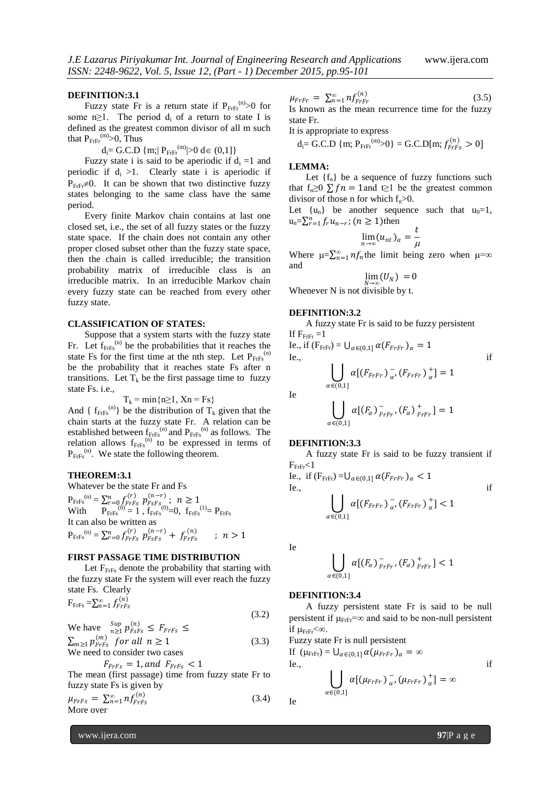#### **DEFINITION:3.1**

Fuzzy state Fr is a return state if  $P_{FrF}^{(n)} > 0$  for some n≥1. The period  $d_i$  of a return to state I is defined as the greatest common divisor of all m such that  $P_{\text{FrFr}}^{(m)}$ >0, Thus

 $d_i = G.C.D \{m; | P_{F r F r}^{(m)}| > 0 \ d \in (0,1] \}$ 

Fuzzy state i is said to be aperiodic if  $d_i = 1$  and periodic if  $d_i > 1$ . Clearly state i is aperiodic if  $P_{\text{FrF}} \neq 0$ . It can be shown that two distinctive fuzzy states belonging to the same class have the same period.

Every finite Markov chain contains at last one closed set, i.e., the set of all fuzzy states or the fuzzy state space. If the chain does not contain any other proper closed subset other than the fuzzy state space, then the chain is called irreducible; the transition probability matrix of irreducible class is an irreducible matrix. In an irreducible Markov chain every fuzzy state can be reached from every other fuzzy state.

#### **CLASSIFICATION OF STATES:**

Suppose that a system starts with the fuzzy state Fr. Let  $f_{Frfs}^{(n)}$  be the probabilities that it reaches the state Fs for the first time at the nth step. Let  $P_{FrFs}^{(n)}$ be the probability that it reaches state Fs after n transitions. Let  $T_k$  be the first passage time to fuzzy state Fs. i.e.,

$$
T_k = \min\{n \ge 1, Xn = Fs\}
$$

And {  $f_{Frfs}^{(n)}$ } be the distribution of  $T_k$  given that the chain starts at the fuzzy state Fr. A relation can be established between  $f_{\text{FrFs}}^{(n)}$  and  $P_{\text{FrFs}}^{(n)}$  as follows. The relation allows  $f_{Frfs}^{(n)}$  to be expressed in terms of  $P_{\text{FrFs}}^{(n)}$ . We state the following theorem.

#### **THEOREM:3.1**

Whatever be the state Fr and Fs  $P_{\text{FrFs}}^{(n)} = \sum_{r=0}^{n} f_{\text{FrFs}}^{(r)} p_{\text{FSFS}}^{(n-r)}; n \ge 1$ <br>With  $P_{\text{FrFs}}^{(0)} = 1$ ,  $f_{\text{FrFs}}^{(0)} = 0$ ,  $f_{\text{FrFs}}^{(1)} = P_{\text{FrFs}}$ It can also be written as  $P_{\text{FrFs}}^{(n)} = \sum_{r=0}^{n} f_{\text{FrFs}}^{(r)} p_{\text{FSFs}}^{(n-r)} + f_{\text{FrFs}}^{(n)}$  $:n > 1$ 

# **FIRST PASSAGE TIME DISTRIBUTION**

Let  $F<sub>FrFs</sub>$  denote the probability that starting with the fuzzy state Fr the system will ever reach the fuzzy state Fs. Clearly

$$
F_{\text{FrFs}} = \sum_{n=1}^{\infty} f_{\text{FrFs}}^{(n)} \tag{3.2}
$$

We have 
$$
\sum_{n\geq 1}^{Sup} p_{FSFs}^{(n)} \leq F_{FrFs} \leq
$$

$$
\sum_{m\geq 1} p_{FrFs}^{(m)} \text{ for all } n \geq 1
$$

$$
\text{We need to consider two cases} \tag{3.3}
$$

$$
F_{FrFs} = 1, and F_{FrFs} < 1
$$

The mean (first passage) time from fuzzy state Fr to fuzzy state Fs is given by

$$
\mu_{FrFs} = \sum_{n=1}^{\infty} n f_{FrFs}^{(n)} \tag{3.4}
$$
 More over

$$
\mu_{FrFr} = \sum_{n=1}^{\infty} n f_{FrFr}^{(n)} \tag{3.5}
$$

Is known as the mean recurrence time for the fuzzy state Fr.

It is appropriate to express

$$
d_i = G.C.D \{ m; P_{F r F'}^{(m)} > 0 \} = G.C.D[m; f_{F r F s}^{(n)} > 0]
$$

#### **LEMMA:**

Let  $\{f_n\}$  be a sequence of fuzzy functions such that f<sub>n</sub>≥0  $\Sigma f n = 1$  and t≥1 be the greatest common divisor of those n for which  $f_n>0$ .

Let  $\{u_n\}$  be another sequence such that  $u_0=1$ ,  $u_n = \sum_{r=1}^n f_r u_{n-r}$ ;  $(n \ge 1)$ then

$$
\lim_{n\to\infty}(u_{nt})_{\alpha}=\frac{t}{\mu}
$$

Where  $\mu = \sum_{n=1}^{\infty} n f_n$  the limit being zero when  $\mu = \infty$ and

$$
\lim_{N\to\infty}(U_N)\;=0
$$

Whenever N is not divisible by t.

#### **DEFINITION:3.2**

A fuzzy state Fr is said to be fuzzy persistent If  $F_{Frfr} = 1$ 

Ie., if 
$$
(F_{\text{FrFr}}) = U_{\alpha \in (0,1]} \alpha (F_{\text{FrFr}})_{\alpha} = 1
$$
  
\nIe.,  
\n
$$
\bigcup_{\alpha \in (0,1]} \alpha [(F_{\text{FrFr}})_{\alpha}^{-}, (F_{\text{FrFr}})_{\alpha}^{+}] = 1
$$
if

$$
\bigcup_{\alpha\in(0,1]}\alpha[(F_\alpha)\mathop{^-}_{FrFr},(F_\alpha)\mathop{^+}_{FrFr}]=1
$$

#### **DEFINITION:3.3**

A fuzzy state Fr is said to be fuzzy transient if  $F_{\text{FrFr}}<1$ 

Ie., if 
$$
(F_{\text{FrFr}}) = U_{\alpha \in (0,1]} \alpha(F_{\text{FrFr}})_{\alpha} < 1
$$
  
\nIe.,  
\n
$$
\bigcup_{\alpha \in (0,1]} \alpha[(F_{\text{FrFr}})_{\alpha}^{-}, (F_{\text{FrFr}})_{\alpha}^{+}] < 1
$$
if

Ie

Ie

$$
\bigcup_{\alpha\in(0,1]}\alpha[(F_\alpha)\,_{FrFr}^-, (F_\alpha)\,_{FrFr}^+]<1
$$

### **DEFINITION:3.4**

A fuzzy persistent state Fr is said to be null persistent if  $\mu_{\text{FrF}} = \infty$  and said to be non-null persistent if  $\mu_{\text{FrFr}}<\infty$ .

Fuzzy state Fr is null persistent

If  $(\mu_{\text{FrFr}}) = \bigcup_{\alpha \in (0,1]} \alpha (\mu_{\text{FrFr}})_{\alpha} = \infty$  $Ie.,$  if

$$
\bigcup_{\alpha\in(0,1]}\alpha[(\mu_{FrFr})_{\alpha}^{-},(\mu_{FrFr})_{\alpha}^{+}]=\infty
$$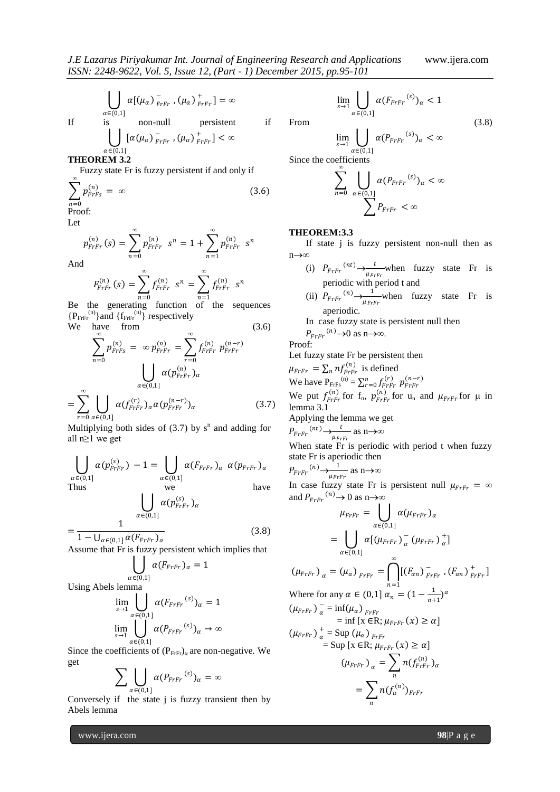If 
$$
\alpha[(\mu_{\alpha})_{F r F r}^{-}, (\mu_{\alpha})_{F r F r}^{+}] = \infty
$$
  
\nIf is non-null persistent  
\n
$$
\left( \int [\alpha(\mu_{\alpha})_{F r F r}^{-}, (\mu_{\alpha})_{F r F r}^{+}] < \infty \right)
$$
if

 $\bigcup_{\alpha \in (0,1]}$ **THEOREM 3.2**

Fuzzy state Fr is fuzzy persistent if and only if *∞*

 $\frac{1}{FrFr}$  ,  $(\mu_{\alpha})$   $\frac{1}{FrFr}$ 

 $_{FFT}^{-}$  ,  $(\mu_{\alpha})$   $_{FFT}^{+}$ 

 $\frac{1}{E_{\text{r}}E_{\text{r}}}$ ] =  $\infty$ 

 $\frac{1}{E_{\text{r}}E_{\text{r}}}$ ] <  $\infty$ 

$$
\sum_{n=0} p_{FrFs}^{(n)} = \infty
$$
\n
$$
\text{Proof:} \tag{3.6}
$$

Let

$$
p_{r r r r}^{(n)}(s) = \sum_{n=0}^{\infty} p_{r r r r}^{(n)} s^{n} = 1 + \sum_{n=1}^{\infty} p_{r r r r}^{(n)} s^{n}
$$

And

$$
F_{F r F r}^{(n)}(s) = \sum_{n=0}^{\infty} f_{F r F r}^{(n)} s^n = \sum_{n=1}^{\infty} f_{F r F r}^{(n)} s^n
$$

Be the generating function of the sequences  ${P_{\text{FrFr}}}^{(n)}$  and  ${f_{\text{FrFr}}}^{(n)}$  respectively

We have from (3.6)  
\n
$$
\sum_{n=0}^{\infty} p_{FrFs}^{(n)} = \infty p_{FrFr}^{(n)} = \sum_{r=0}^{\infty} f_{FrFr}^{(n)} p_{FrFr}^{(n-r)}
$$
\n
$$
\bigcup_{\alpha \in (0,1]} \alpha (p_{FrFr}^{(n)})_{\alpha}
$$
\n
$$
= \sum_{r=0}^{\infty} \bigcup_{\alpha \in (0,1]} \alpha (f_{FrFr}^{(r)})_{\alpha} \alpha (p_{FrFr}^{(n-r)})_{\alpha}
$$
\n(3.7)

Multiplying both sides of  $(3.7)$  by s<sup>n</sup> and adding for all n≥1 we get

$$
\bigcup_{\alpha \in (0,1]} \alpha(p_{\text{FrFr}}^{(s)}) - 1 = \bigcup_{\alpha \in (0,1]} \alpha(F_{\text{FrFr}})_{\alpha} \alpha(p_{\text{FrFr}})_{\alpha}
$$
\nThus\n
$$
\bigcup_{\alpha \in (0,1]} \alpha(p_{\text{FrFr}}^{(s)})_{\alpha}
$$
\n
$$
\bigcup_{\alpha \in (0,1]} \alpha(p_{\text{FrFr}}^{(s)})_{\alpha}
$$
\n(3.6)

 $=\frac{1}{1-\bigcup_{\alpha\in(0,1]}\alpha(F_{F\setminus F\setminus\alpha})}$ (3.8)

Assume that Fr is fuzzy persistent which implies that

$$
\bigcup_{\in (0,1]} \alpha(F_{F r F r})_{\alpha} = 1
$$

Using Abels lemma

 $\alpha$ 

$$
\lim_{s \to 1} \bigcup_{\alpha \in (0,1]} \alpha(F_{F r F r}^{(s)})_{\alpha} = 1
$$
  

$$
\lim_{s \to 1} \bigcup_{\alpha \in (0,1]} \alpha(P_{F r F r}^{(s)})_{\alpha} \to \infty
$$

Since the coefficients of  $(P_{\text{Frfr}})_\alpha$  are non-negative. We get

$$
\sum_{\alpha\in(0,1]}\prod_{\alpha\in P_{F rF r}}(s)_{\alpha}=\infty
$$

Conversely if the state  $\mathbf{j}$  is fuzzy transient then by Abels lemma

From  
\n
$$
\lim_{s \to 1} \bigcup_{\alpha \in (0,1]} \alpha(P_{FFF}^{(s)})_{\alpha} < \infty
$$
\n
$$
\text{Since the coefficients}
$$
\n(3.8)

 $\lim_{s \to 1} \bigcup \alpha(F_{F r F r}^{(s)})_{\alpha} < 1$ 

Since the coefficients  
\n
$$
\sum_{n=0}^{\infty} \bigcup_{\alpha \in (0,1]} \alpha(P_{FrFr}^{(s)})_{\alpha} < \infty
$$
\n
$$
\sum_{n=0}^{\infty} P_{FrFr} < \infty
$$

 $\alpha \in (0,1]$ 

### **THEOREM:3.3**

If state j is fuzzy persistent non-null then as n∞

- (i)  $P_{F r F r}^{(nt)} \rightarrow \frac{t}{\sqrt{r}}$  $\frac{1}{\mu_{F r F r}}$  when fuzzy state Fr is periodic with period t and
- (ii)  $P_{F r F r}^{(n)} \rightarrow \frac{1}{\mu r}$  $\frac{1}{\mu_{F r F r}}$  when fuzzy state Fr is aperiodic.
- In case fuzzy state is persistent null then

 $P_{FFT}^{(n)} \rightarrow 0$  as n $\rightarrow \infty$ .

Proof:

Let fuzzy state Fr be persistent then

 $\mu_{F r F r} = \sum_{n} n f_{F r F r}^{(n)}$  is defined

We have  $P_{\text{FrFs}}^{(n)} = \sum_{r=0}^{n} f_{\text{FrFr}}^{(r)} p_{\text{FrFr}}^{(n-r)}$ 

We put  $f_{\text{FrFr}}^{(n)}$  for  $f_n$ ,  $p_{\text{FrFr}}^{(n)}$  for  $u_n$  and  $\mu_{\text{FrFr}}$  for  $\mu$  in lemma 3.1

Applying the lemma we get

$$
P_{F r F r}^{(nt)} \rightarrow \frac{t}{\mu_{F r F r}} \text{ as } n \rightarrow \infty
$$

When state Fr is periodic with period t when fuzzy state Fr is aperiodic then

$$
P_{F r F r}^{(n)} \rightarrow \frac{1}{\mu_{F r F r}} \text{ as } n \rightarrow \infty
$$

In case fuzzy state Fr is persistent null  $\mu_{FrFr} = \infty$ and  $P_{F r F r}^{(n)} \rightarrow 0$  as n $\rightarrow \infty$ 

$$
\mu_{FrFr} = \bigcup_{\alpha \in (0,1]} \alpha (\mu_{FrFr})_{\alpha}
$$
  
\n
$$
= \bigcup_{\alpha \in (0,1]} \alpha [(\mu_{FrFr})_{\alpha}^{-} (\mu_{FrFr})_{\alpha}^{+}]
$$
  
\n
$$
(\mu_{FrFr})_{\alpha} = (\mu_{\alpha})_{FrFr} = \bigcap_{n=1}^{\infty} [(F_{\alpha n})_{FrFr}^{-} , (F_{\alpha n})_{FrFr}^{+}]
$$
  
\nWhere for any  $\alpha \in (0,1]$   $\alpha_{n} = (1 - \frac{1}{n+1})^{\alpha}$   
\n
$$
(\mu_{FrFr})_{\alpha}^{-} = \inf(\mu_{\alpha})_{FrFr}^{-} = \inf [x \in R; \mu_{FrFr}(x) \ge \alpha]
$$
  
\n
$$
(\mu_{FrFr})_{\alpha}^{+} = \sup (\mu_{\alpha})_{FrFr} (\alpha) \ge \alpha]
$$
  
\n
$$
(\mu_{FrFr})_{\alpha} = \sum_{n} n(f_{rrr})_{\alpha}
$$
  
\n
$$
= \sum_{n} n(f_{\alpha}^{(n)})_{FrFr}
$$

www.ijera.com **98**|P a g e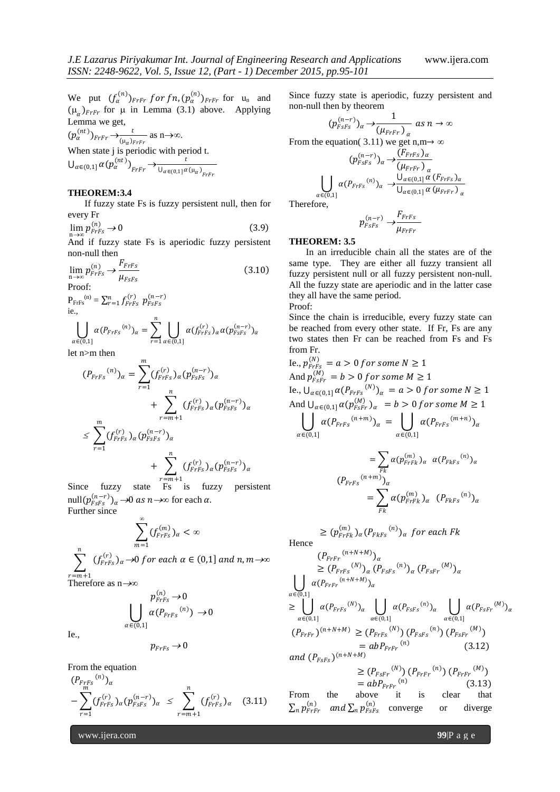$\alpha$ 

We put  $(f_\alpha^{(n)})_{FrFr}$  for fn,  $(p_\alpha^{(n)})_{FrFr}$  for  $u_n$  and  $(\mu_{\alpha})_{FrFr}$  for  $\mu$  in Lemma (3.1) above. Applying Lemma we get,

 $(p_\alpha^{(nt)})_{FrFr} \rightarrow \frac{t}{(n-r)}$  $\frac{t}{(\mu_{\alpha})_{F r F r}}$  as n $\rightarrow \infty$ . When state j is periodic with period t.  $\bigcup_{\alpha\in(0,1]}\alpha(p_\alpha^{(nt)})_{FFF} \rightarrow \frac{t}{\bigcup_{\alpha\in(0,1]}\alpha}$  $U_{\alpha\in(0,1]}\alpha(\mu_{\alpha})_{FrFr}$ 

# **THEOREM:3.4**

If fuzzy state Fs is fuzzy persistent null, then for every Fr

$$
\lim_{n \to \infty} p_{FrFs}^{(n)} \to 0 \tag{3.9}
$$

And if fuzzy state Fs is aperiodic fuzzy persistent non-null then

$$
\lim_{n \to \infty} p_{FrFs}^{(n)} \to \frac{F_{FrFs}}{\mu_{FsFs}} \tag{3.10}
$$

Proof:

$$
P_{\text{FrFs}}^{(n)} = \sum_{r=1}^{n} f_{\text{FrFs}}^{(r)} \ p_{\text{FSFs}}^{(n-r)}
$$
  
i.e.,

$$
\bigcup_{\alpha \in (0,1]} \alpha(P_{FrFs}^{(n)})_{\alpha} = \sum_{r=1} \bigcup_{\alpha \in (0,1]} \alpha(f_{FrFs}^{(r)})_{\alpha} \alpha(p_{rsFs}^{(n-r)})_{\alpha}
$$

 $\overline{m}$ 

let n>m then

$$
(P_{FrFs}^{(n)})_{\alpha} = \sum_{r=1}^{n} (f_{FrFs}^{(r)})_{\alpha} (p_{FSFs}^{(n-r)})_{\alpha} + \sum_{r=m+1}^{n} (f_{FrFs}^{(r)})_{\alpha} (p_{FSFs}^{(n-r)})_{\alpha} \le \sum_{r=1}^{m} (f_{FrFs}^{(r)})_{\alpha} (p_{FSFs}^{(n-r)})_{\alpha} + \sum_{r=m+1}^{n} (f_{FrFs}^{(r)})_{\alpha} (p_{FSFs}^{(n-r)})_{\alpha}
$$

Since fuzzy state  $\overline{F} = m+1$  Since fuzzy state  $\overline{F}$  for fuzzy persistent null $(p_{FSFS}^{(n-r)})_{\alpha} \rightarrow 0$  as  $n \rightarrow \infty$  for each  $\alpha$ . Further since

$$
\sum_{m=1}^{\infty}(f_{FFS}^{(m)})_{\alpha}<\infty
$$

$$
\sum_{r=m+1}^{n} (f_{FrFs}^{(r)})_{\alpha} \rightarrow 0 \text{ for each } \alpha \in (0,1] \text{ and } n,m \rightarrow \infty
$$

 $r=m+1$ <br>Therefore as n→∞

$$
\bigcup_{\alpha\in(0,1]}\frac{p_{FrFs}^{(n)}\to 0}{\alpha(P_{FrFs}^{(n)})\to 0}
$$

Ie.,

$$
p_{FrFs}\to 0
$$

From the equation

$$
(P_{F_{FFS}}^{(n)})_{\alpha} - \sum_{r=1}^{m} (f_{F_{FFS}}^{(r)})_{\alpha} (p_{FSFs}^{(n-r)})_{\alpha} \leq \sum_{r=m+1}^{n} (f_{F_{FFS}}^{(r)})_{\alpha} \quad (3.11)
$$

www.ijera.com **99**|P a g e

Since fuzzy state is aperiodic, fuzzy persistent and non-null then by theorem

$$
(p_{FSFS}^{(n-r)})_{\alpha} \rightarrow \frac{1}{(\mu_{FrFr})_{\alpha}} \text{ as } n \rightarrow \infty
$$
  
From the equation (3.11) we get n,m $\rightarrow \infty$   

$$
(p_{FSFS}^{(n-r)})_{\alpha} \rightarrow \frac{(F_{FrFs})_{\alpha}}{(\mu_{FrFr})_{\alpha}}
$$
  

$$
\bigcup_{\alpha \in (0,1]} \alpha(P_{FrFs}^{(n)})_{\alpha} \rightarrow \frac{\bigcup_{\alpha \in (0,1]} \alpha(F_{FrFs})_{\alpha}}{\bigcup_{\alpha \in (0,1]} \alpha(\mu_{FrFr})_{\alpha}}
$$

Therefore,

$$
p_{FSFS}^{(n-r)} \rightarrow \frac{F_{FrFs}}{\mu_{FrFr}}
$$

## **THEOREM: 3.5**

In an irreducible chain all the states are of the same type. They are either all fuzzy transient all fuzzy persistent null or all fuzzy persistent non-null. All the fuzzy state are aperiodic and in the latter case they all have the same period. Proof:

Since the chain is irreducible, every fuzzy state can be reached from every other state. If Fr, Fs are any two states then Fr can be reached from Fs and Fs from Fr.

Ie., 
$$
p_{FFS}^{(N)} = a > 0
$$
 for some  $N \ge 1$   
\nAnd  $p_{FSFr}^{(M)} = b > 0$  for some  $M \ge 1$   
\nIe.,  $\bigcup_{\alpha \in (0,1]} \alpha(P_{F\setminus FS}^{(N)})_{\alpha} = a > 0$  for some  $N \ge 1$   
\nAnd  $\bigcup_{\alpha \in (0,1]} \alpha(p_{FSFr}^{(M)})_{\alpha} = b > 0$  for some  $M \ge 1$   
\n
$$
\bigcup_{\alpha \in (0,1]} \alpha(P_{F\setminus FS}^{(N+1)})_{\alpha} = \bigcup_{\alpha \in (0,1]} \alpha(P_{F\setminus FS}^{(m+n)})_{\alpha}
$$
\n
$$
= \sum_{\substack{Fk \\ Fk}} \alpha(p_{F\setminus Fk}^{(m)})_{\alpha} \alpha(P_{F\setminus FS}^{(m)})_{\alpha}
$$
\n
$$
(P_{F\setminus FS}^{(n+m)})_{\alpha}
$$

$$
= \sum_{Fk}^{\infty} \alpha(p_{FrFk}^{(m)})_{\alpha} (P_{FkFs}^{(n)})_{\alpha}
$$

$$
\ge (p_{\text{FrF}k}^{(m)})_{\alpha} (P_{\text{FkFs}}^{(n)})_{\alpha} \text{ for each } \text{Fk}
$$
  
Hence

$$
(P_{F r F r}^{(n+N+M)})_{\alpha}
$$
\n
$$
\geq (P_{F r F s}^{(N)})_{\alpha} (P_{F s F s}^{(N)})_{\alpha} (P_{F s F r}^{(M)})_{\alpha}
$$
\n
$$
\geq \bigcup_{\alpha \in (0,1]}^{\alpha} (\mathcal{P}_{F r F r}^{(n+N+M)})_{\alpha}
$$
\n
$$
\geq \bigcup_{\alpha \in (0,1]}^{\alpha} (\mathcal{P}_{F r F s}^{(N)})_{\alpha} \bigcup_{\alpha \in (0,1]}^{\alpha} (\mathcal{P}_{F s F s}^{(N)})_{\alpha} \bigcup_{\alpha \in (0,1]}^{\alpha} (\mathcal{P}_{F s F r}^{(M)})_{\alpha}
$$
\n
$$
(P_{F r F r})^{(n+N+M)} \geq (P_{F r F s}^{(N)}) (P_{F s F s}^{(n)}) (P_{F s F r}^{(M)})
$$
\n
$$
= ab P_{F r F r}^{(n)} \qquad (3.12)
$$
\nand  $(P_{F s F s})^{(n+N+M)}$ \n
$$
\geq (P_{F s F r}^{(N)}) (P_{F r F r}^{(n)}) (P_{F r F r}^{(M)})
$$
\n
$$
= ab P_{F r F r}^{(n)} \qquad (3.13)
$$
\nFrom the above it is clear that\n
$$
\sum_{n} p_{F r F r}^{(n)} \qquad \text{and } \sum_{n} p_{F s F s}^{(n)} \qquad \text{converge}
$$
\nor diverge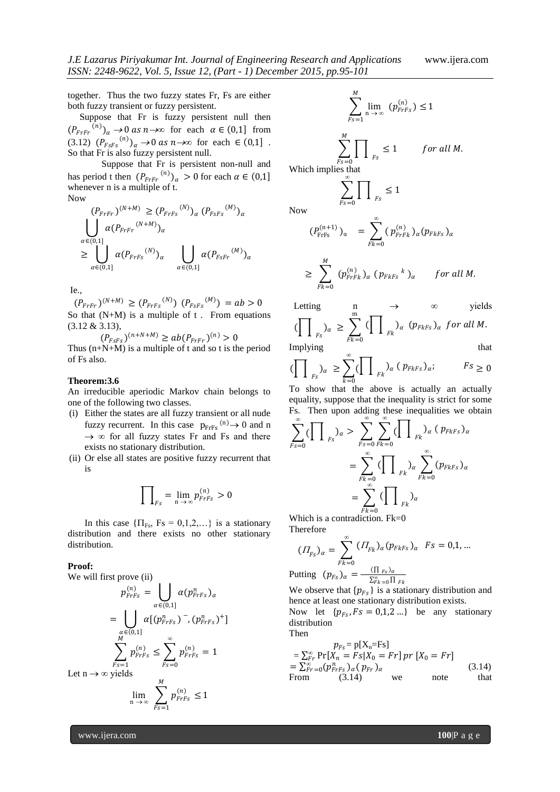together. Thus the two fuzzy states Fr, Fs are either both fuzzy transient or fuzzy persistent.

 Suppose that Fr is fuzzy persistent null then  $(P_{F r F r}^{(n)})_{\alpha} \rightarrow 0$  as  $n \rightarrow \infty$  for each  $\alpha \in (0,1]$  from  $(3.12)$   $(P_{FSFs}^{(n)})_a \rightarrow 0$  as  $n \rightarrow \infty$  for each  $\in (0,1]$ . So that Fr is also fuzzy persistent null.

Suppose that Fr is persistent non-null and has period t then  $(P_{FrFr}^{(n)})_{\alpha} > 0$  for each  $\alpha \in (0,1]$ whenever n is a multiple of t. Now

$$
(P_{F r F r})^{(N+M)} \ge (P_{F r F s}^{(N)})_{\alpha} (P_{F s F s}^{(M)})_{\alpha}
$$
  

$$
\bigcup_{\alpha \in (0,1]}^{\alpha} \alpha (P_{F r F r}^{(N+M)})_{\alpha}
$$
  

$$
\ge \bigcup_{\alpha \in (0,1]}^{\alpha} \alpha (P_{F r F s}^{(N)})_{\alpha} \bigcup_{\alpha \in (0,1]}^{\alpha} \alpha (P_{F s F r}^{(M)})_{\alpha}
$$

Ie.,

 $(P_{F r F r})^{(N+M)} \ge (P_{F r F s}^{(N)}) (P_{F s F s}^{(M)}) = ab > 0$ So that  $(N+M)$  is a multiple of  $t$ . From equations (3.12 & 3.13),

 $(P_{FSFs})^{(n+N+M)} \geq ab(P_{FrFr})^{(n)} > 0$ 

Thus  $(n+N+M)$  is a multiple of t and so t is the period of Fs also.

#### **Theorem:3.6**

An irreducible aperiodic Markov chain belongs to one of the following two classes.

- (i) Either the states are all fuzzy transient or all nude fuzzy recurrent. In this case  $p_{\text{Frfs}}^{(n)} \rightarrow 0$  and n →  $\infty$  for all fuzzy states Fr and Fs and there exists no stationary distribution.
- (ii) Or else all states are positive fuzzy recurrent that is

$$
\prod_{F_s} = \lim_{n \to \infty} p_{FrFs}^{(n)} > 0
$$

In this case  $\{\Pi_{\text{Fs}}, \text{Fs} = 0, 1, 2, \ldots\}$  is a stationary distribution and there exists no other stationary distribution.

#### **Proof:**

We will first prove (ii)

$$
p_{FrFs}^{(n)} = \bigcup_{\alpha \in (0,1]} \alpha(p_{FrFs}^n)_{\alpha}
$$
  
= 
$$
\bigcup_{\substack{\alpha \in (0,1] \\ \beta \neq 1}} \alpha[(p_{FrFs}^n)^{-}, (p_{FrFs}^n)^+]
$$
  

$$
\sum_{\substack{Fs=1 \\ Fs=1}}^M p_{FrFs}^{(n)} \le \sum_{Fs=0}^\infty p_{FrFs}^{(n)} = 1
$$
  
Let  $n \to \infty$  yields  

$$
\lim_{n \to \infty} \sum_{Fs=1}^M p_{FrFs}^{(n)} \le 1
$$

$$
\sum_{Fs=1}^{M} \lim_{n \to \infty} (p_{FrFs}^{(n)}) \le 1
$$

for all M.

 $\sum_{Fs=0}$   $\prod$   $\prod_{Fs}$ Which implies that ∞

$$
\sum_{Fs=0} \prod_{Fs} \le 1
$$

Now

$$
(P_{\text{FrFs}}^{(n+1)})_{\alpha} = \sum_{Fk=0}^{\infty} (p_{\text{FrFK}}^{(n)})_{\alpha} (p_{\text{FkFs}})_{\alpha}
$$
  

$$
\geq \sum_{Fk=0}^{M} (p_{\text{FrFK}}^{(n)})_{\alpha} (p_{\text{FkFs}}^{(k)})_{\alpha} \quad \text{for all } M.
$$

Letting 
$$
\prod_{F_s} \sum_{\alpha}^m \left( \prod_{F_k} \right)_{\alpha} \left( \sum_{F_k}^m \left( \sum_{F_k} \right)_{\alpha} \left( p_{Fk} \right)_{\alpha} \right)
$$
 yields  
Implying that

$$
\left(\prod_{FS} a \ge \sum_{k=0}^{\infty} \left(\prod_{FK} a (p_{FKFS}) a\right) \right)
$$
  
To show that the above is actually an actually

To show that the above is actually an actually equality, suppose that the inequality is strict for some Fs. Then upon adding these inequalities we obtain

$$
\sum_{Fs=0}^{\infty} (\prod_{Fs})_{\alpha} > \sum_{Fs=0}^{\infty} \sum_{Fk=0}^{\infty} (\prod_{Fk})_{\alpha} (p_{FkFs})_{\alpha}
$$

$$
= \sum_{Fk=0}^{\infty} (\prod_{Fk})_{\alpha} \sum_{Fk=0}^{\infty} (p_{FkFs})_{\alpha}
$$

$$
= \sum_{Fk=0}^{\infty} (\prod_{Fk})_{\alpha}
$$

Which is a contradiction. Fk=0 Therefore

$$
(II_{FS})_{\alpha} = \sum_{Fk=0}^{\infty} (II_{Fk})_{\alpha} (p_{FkFs})_{\alpha} \ \ Fs = 0,1,...
$$

Putting  $(p_{Fs})_{\alpha} = \frac{(\prod_{Fs})_{\alpha}}{\sum_{y}^{\infty} \prod_{y}^{(\alpha)}}$  $\Sigma_{Fk=0}^{\infty} \prod F_k$ 

We observe that  $\{p_{Fs}\}\$ is a stationary distribution and hence at least one stationary distribution exists.

Now let  $\{p_{Fs}, Fs = 0,1,2...\}$  be any stationary distribution Then

$$
p_{Fs} = p[X_n = Fs]
$$
  
=  $\sum_{Fr}^{\infty} Pr[X_n = Fs|X_0 = Fr] pr[X_0 = Fr]$   
=  $\sum_{Fr}^{\infty} -0(p_{FrFs}^n) \alpha(p_{Fr}) \alpha$  (3.14)  
From (3.14) we note that

www.ijera.com **100**|P a g e